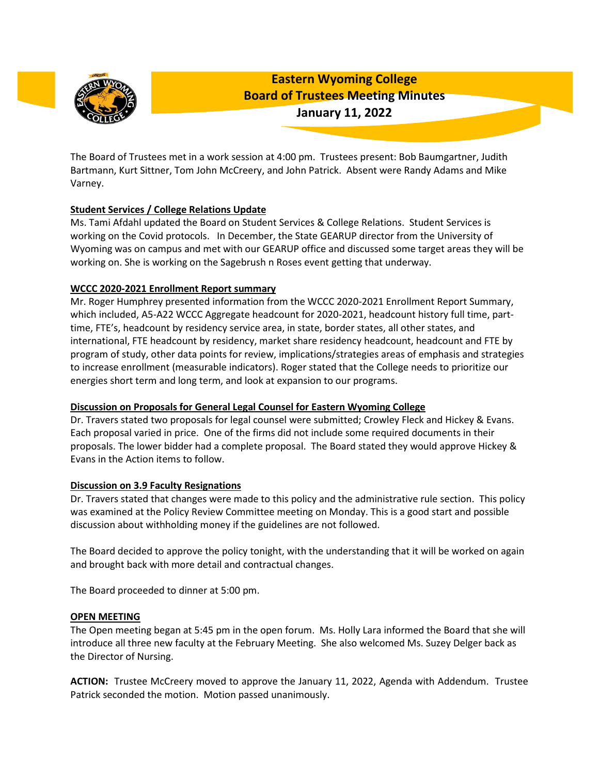

**Eastern Wyoming College Board of Trustees Meeting Minutes January 11, 2022**

The Board of Trustees met in a work session at 4:00 pm. Trustees present: Bob Baumgartner, Judith Bartmann, Kurt Sittner, Tom John McCreery, and John Patrick. Absent were Randy Adams and Mike Varney.

# **Student Services / College Relations Update**

Ms. Tami Afdahl updated the Board on Student Services & College Relations. Student Services is working on the Covid protocols. In December, the State GEARUP director from the University of Wyoming was on campus and met with our GEARUP office and discussed some target areas they will be working on. She is working on the Sagebrush n Roses event getting that underway.

## **WCCC 2020-2021 Enrollment Report summary**

Mr. Roger Humphrey presented information from the WCCC 2020-2021 Enrollment Report Summary, which included, A5-A22 WCCC Aggregate headcount for 2020-2021, headcount history full time, parttime, FTE's, headcount by residency service area, in state, border states, all other states, and international, FTE headcount by residency, market share residency headcount, headcount and FTE by program of study, other data points for review, implications/strategies areas of emphasis and strategies to increase enrollment (measurable indicators). Roger stated that the College needs to prioritize our energies short term and long term, and look at expansion to our programs.

## **Discussion on Proposals for General Legal Counsel for Eastern Wyoming College**

Dr. Travers stated two proposals for legal counsel were submitted; Crowley Fleck and Hickey & Evans. Each proposal varied in price. One of the firms did not include some required documents in their proposals. The lower bidder had a complete proposal. The Board stated they would approve Hickey & Evans in the Action items to follow.

## **Discussion on 3.9 Faculty Resignations**

Dr. Travers stated that changes were made to this policy and the administrative rule section. This policy was examined at the Policy Review Committee meeting on Monday. This is a good start and possible discussion about withholding money if the guidelines are not followed.

The Board decided to approve the policy tonight, with the understanding that it will be worked on again and brought back with more detail and contractual changes.

The Board proceeded to dinner at 5:00 pm.

## **OPEN MEETING**

The Open meeting began at 5:45 pm in the open forum. Ms. Holly Lara informed the Board that she will introduce all three new faculty at the February Meeting. She also welcomed Ms. Suzey Delger back as the Director of Nursing.

**ACTION:** Trustee McCreery moved to approve the January 11, 2022, Agenda with Addendum. Trustee Patrick seconded the motion. Motion passed unanimously.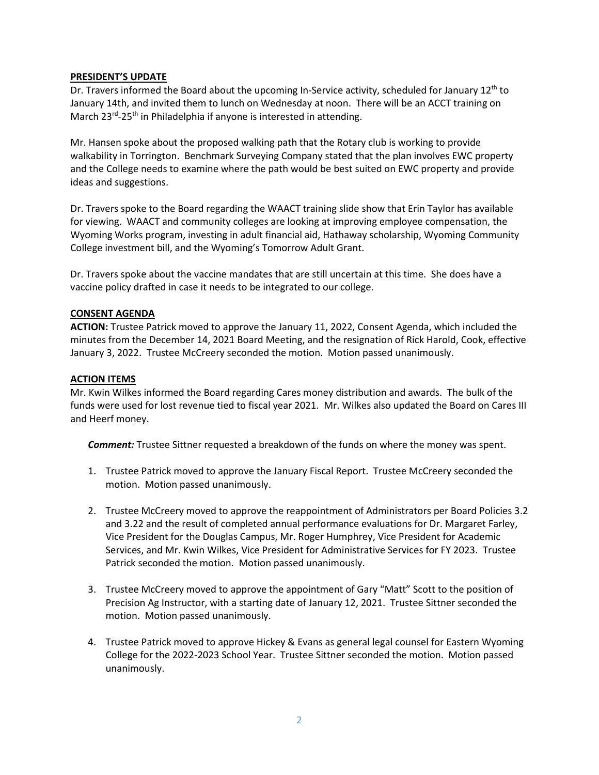### **PRESIDENT'S UPDATE**

Dr. Travers informed the Board about the upcoming In-Service activity, scheduled for January 12<sup>th</sup> to January 14th, and invited them to lunch on Wednesday at noon. There will be an ACCT training on March 23<sup>rd</sup>-25<sup>th</sup> in Philadelphia if anyone is interested in attending.

Mr. Hansen spoke about the proposed walking path that the Rotary club is working to provide walkability in Torrington. Benchmark Surveying Company stated that the plan involves EWC property and the College needs to examine where the path would be best suited on EWC property and provide ideas and suggestions.

Dr. Travers spoke to the Board regarding the WAACT training slide show that Erin Taylor has available for viewing. WAACT and community colleges are looking at improving employee compensation, the Wyoming Works program, investing in adult financial aid, Hathaway scholarship, Wyoming Community College investment bill, and the Wyoming's Tomorrow Adult Grant.

Dr. Travers spoke about the vaccine mandates that are still uncertain at this time. She does have a vaccine policy drafted in case it needs to be integrated to our college.

### **CONSENT AGENDA**

**ACTION:** Trustee Patrick moved to approve the January 11, 2022, Consent Agenda, which included the minutes from the December 14, 2021 Board Meeting, and the resignation of Rick Harold, Cook, effective January 3, 2022. Trustee McCreery seconded the motion. Motion passed unanimously.

### **ACTION ITEMS**

Mr. Kwin Wilkes informed the Board regarding Cares money distribution and awards. The bulk of the funds were used for lost revenue tied to fiscal year 2021. Mr. Wilkes also updated the Board on Cares III and Heerf money.

*Comment:* Trustee Sittner requested a breakdown of the funds on where the money was spent.

- 1. Trustee Patrick moved to approve the January Fiscal Report. Trustee McCreery seconded the motion. Motion passed unanimously.
- 2. Trustee McCreery moved to approve the reappointment of Administrators per Board Policies 3.2 and 3.22 and the result of completed annual performance evaluations for Dr. Margaret Farley, Vice President for the Douglas Campus, Mr. Roger Humphrey, Vice President for Academic Services, and Mr. Kwin Wilkes, Vice President for Administrative Services for FY 2023. Trustee Patrick seconded the motion. Motion passed unanimously.
- 3. Trustee McCreery moved to approve the appointment of Gary "Matt" Scott to the position of Precision Ag Instructor, with a starting date of January 12, 2021. Trustee Sittner seconded the motion. Motion passed unanimously.
- 4. Trustee Patrick moved to approve Hickey & Evans as general legal counsel for Eastern Wyoming College for the 2022-2023 School Year. Trustee Sittner seconded the motion. Motion passed unanimously.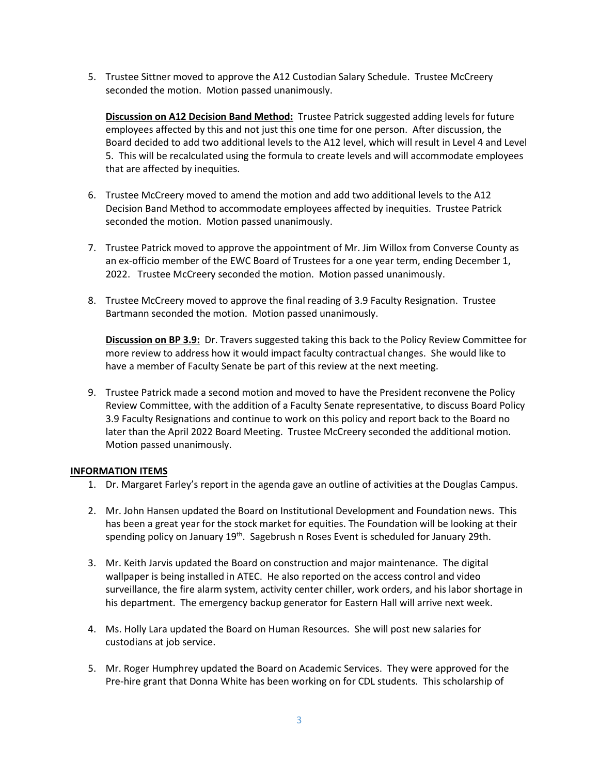5. Trustee Sittner moved to approve the A12 Custodian Salary Schedule. Trustee McCreery seconded the motion. Motion passed unanimously.

**Discussion on A12 Decision Band Method:** Trustee Patrick suggested adding levels for future employees affected by this and not just this one time for one person. After discussion, the Board decided to add two additional levels to the A12 level, which will result in Level 4 and Level 5. This will be recalculated using the formula to create levels and will accommodate employees that are affected by inequities.

- 6. Trustee McCreery moved to amend the motion and add two additional levels to the A12 Decision Band Method to accommodate employees affected by inequities. Trustee Patrick seconded the motion. Motion passed unanimously.
- 7. Trustee Patrick moved to approve the appointment of Mr. Jim Willox from Converse County as an ex-officio member of the EWC Board of Trustees for a one year term, ending December 1, 2022. Trustee McCreery seconded the motion. Motion passed unanimously.
- 8. Trustee McCreery moved to approve the final reading of 3.9 Faculty Resignation. Trustee Bartmann seconded the motion. Motion passed unanimously.

**Discussion on BP 3.9:** Dr. Travers suggested taking this back to the Policy Review Committee for more review to address how it would impact faculty contractual changes. She would like to have a member of Faculty Senate be part of this review at the next meeting.

9. Trustee Patrick made a second motion and moved to have the President reconvene the Policy Review Committee, with the addition of a Faculty Senate representative, to discuss Board Policy 3.9 Faculty Resignations and continue to work on this policy and report back to the Board no later than the April 2022 Board Meeting. Trustee McCreery seconded the additional motion. Motion passed unanimously.

#### **INFORMATION ITEMS**

- 1. Dr. Margaret Farley's report in the agenda gave an outline of activities at the Douglas Campus.
- 2. Mr. John Hansen updated the Board on Institutional Development and Foundation news. This has been a great year for the stock market for equities. The Foundation will be looking at their spending policy on January 19<sup>th</sup>. Sagebrush n Roses Event is scheduled for January 29th.
- 3. Mr. Keith Jarvis updated the Board on construction and major maintenance. The digital wallpaper is being installed in ATEC. He also reported on the access control and video surveillance, the fire alarm system, activity center chiller, work orders, and his labor shortage in his department. The emergency backup generator for Eastern Hall will arrive next week.
- 4. Ms. Holly Lara updated the Board on Human Resources. She will post new salaries for custodians at job service.
- 5. Mr. Roger Humphrey updated the Board on Academic Services. They were approved for the Pre-hire grant that Donna White has been working on for CDL students. This scholarship of